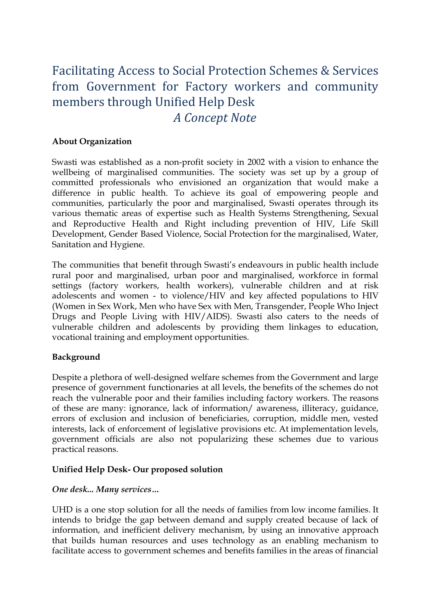# Facilitating Access to Social Protection Schemes & Services from Government for Factory workers and community members through Unified Help Desk *A Concept Note*

### **About Organization**

Swasti was established as a non-profit society in 2002 with a vision to enhance the wellbeing of marginalised communities. The society was set up by a group of committed professionals who envisioned an organization that would make a difference in public health. To achieve its goal of empowering people and communities, particularly the poor and marginalised, Swasti operates through its various thematic areas of expertise such as Health Systems Strengthening, Sexual and Reproductive Health and Right including prevention of HIV, Life Skill Development, Gender Based Violence, Social Protection for the marginalised, Water, Sanitation and Hygiene.

The communities that benefit through Swasti's endeavours in public health include rural poor and marginalised, urban poor and marginalised, workforce in formal settings (factory workers, health workers), vulnerable children and at risk adolescents and women - to violence/HIV and key affected populations to HIV (Women in Sex Work, Men who have Sex with Men, Transgender, People Who Inject Drugs and People Living with HIV/AIDS). Swasti also caters to the needs of vulnerable children and adolescents by providing them linkages to education, vocational training and employment opportunities.

### **Background**

Despite a plethora of well-designed welfare schemes from the Government and large presence of government functionaries at all levels, the benefits of the schemes do not reach the vulnerable poor and their families including factory workers. The reasons of these are many: ignorance, lack of information/ awareness, illiteracy, guidance, errors of exclusion and inclusion of beneficiaries, corruption, middle men, vested interests, lack of enforcement of legislative provisions etc. At implementation levels, government officials are also not popularizing these schemes due to various practical reasons.

### **Unified Help Desk- Our proposed solution**

### *One desk... Many services…*

UHD is a one stop solution for all the needs of families from low income families. It intends to bridge the gap between demand and supply created because of lack of information, and inefficient delivery mechanism, by using an innovative approach that builds human resources and uses technology as an enabling mechanism to facilitate access to government schemes and benefits families in the areas of financial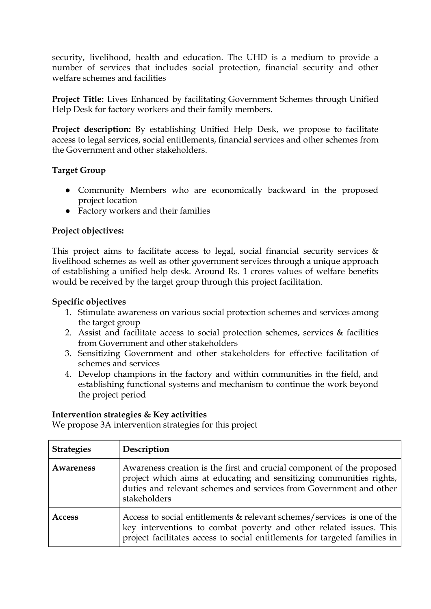security, livelihood, health and education. The UHD is a medium to provide a number of services that includes social protection, financial security and other welfare schemes and facilities

**Project Title:** Lives Enhanced by facilitating Government Schemes through Unified Help Desk for factory workers and their family members.

**Project description:** By establishing Unified Help Desk, we propose to facilitate access to legal services, social entitlements, financial services and other schemes from the Government and other stakeholders.

## **Target Group**

- Community Members who are economically backward in the proposed project location
- Factory workers and their families

# **Project objectives:**

This project aims to facilitate access to legal, social financial security services  $\&$ livelihood schemes as well as other government services through a unique approach of establishing a unified help desk. Around Rs. 1 crores values of welfare benefits would be received by the target group through this project facilitation.

## **Specific objectives**

- 1. Stimulate awareness on various social protection schemes and services among the target group
- 2. Assist and facilitate access to social protection schemes, services & facilities from Government and other stakeholders
- 3. Sensitizing Government and other stakeholders for effective facilitation of schemes and services
- 4. Develop champions in the factory and within communities in the field, and establishing functional systems and mechanism to continue the work beyond the project period

### **Intervention strategies & Key activities**

We propose 3A intervention strategies for this project

| <b>Strategies</b> | Description                                                                                                                                                                                                                        |
|-------------------|------------------------------------------------------------------------------------------------------------------------------------------------------------------------------------------------------------------------------------|
| Awareness         | Awareness creation is the first and crucial component of the proposed<br>project which aims at educating and sensitizing communities rights,<br>duties and relevant schemes and services from Government and other<br>stakeholders |
| <b>Access</b>     | Access to social entitlements & relevant schemes/services is one of the<br>key interventions to combat poverty and other related issues. This<br>project facilitates access to social entitlements for targeted families in        |